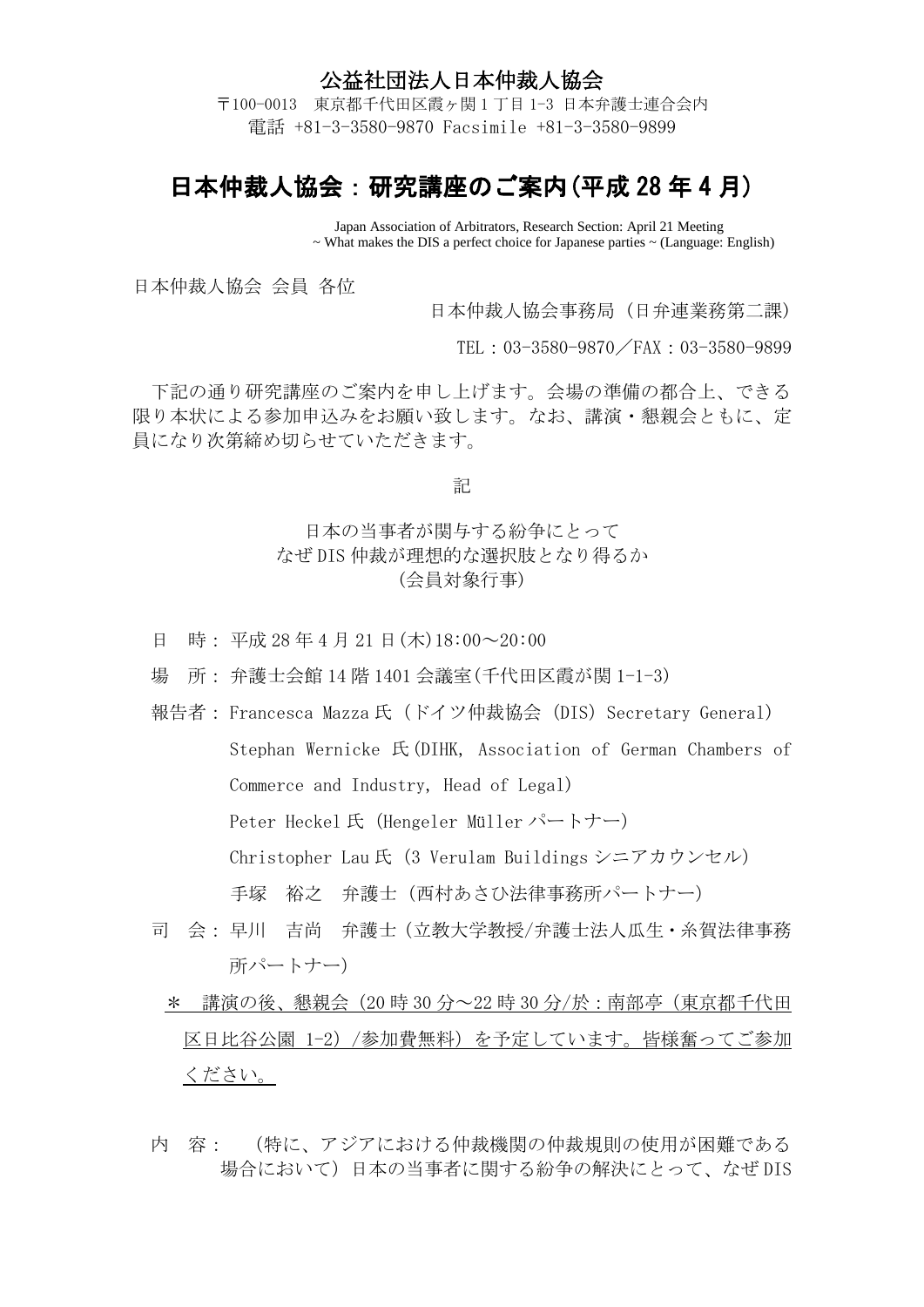## 公益社団法人日本仲裁人協会

〒100-0013 東京都千代田区霞ヶ関 1 丁目 1-3 日本弁護士連合会内 電話 +81-3-3580-9870 Facsimile +81-3-3580-9899

## 日本仲裁人協会:研究講座のご案内(平成 28 年 4 月)

Japan Association of Arbitrators, Research Section: April 21 Meeting ~ What makes the DIS a perfect choice for Japanese parties ~ (Language: English)

日本仲裁人協会 会員 各位

日本仲裁人協会事務局 (日弁連業務第二課)

TEL:03-3580-9870/FAX:03-3580-9899

下記の通り研究講座のご案内を申し上げます。会場の準備の都合上、できる 限り本状による参加申込みをお願い致します。なお、講演・懇親会ともに、定 員になり次第締め切らせていただきます。

記

## 日本の当事者が関与する紛争にとって なぜ DIS 仲裁が理想的な選択肢となり得るか (会員対象行事)

- 日 時: 平成 28 年 4 月 21 日 (木) 18:00~20:00
- 場 所: 弁護士会館 14 階 1401 会議室(千代田区霞が関 1-1-3)
- 報告者: Francesca Mazza 氏(ドイツ仲裁協会 (DIS) Secretary General) Stephan Wernicke 氏(DIHK, Association of German Chambers of Commerce and Industry, Head of Legal) Peter Heckel氏 (Hengeler Müller パートナー) Christopher Lau 氏 (3 Verulam Buildings シニアカウンセル) 手塚 裕之 弁護士(西村あさひ法律事務所パートナー)
- 司 会: 早川 吉尚 弁護士(立教大学教授/弁護士法人瓜生・糸賀法律事務 所パートナー)
	- \* 講演の後、懇親会(20 時 30 分~22 時 30 分/於:南部亭(東京都千代田 区日比谷公園 1-2)/参加費無料)を予定しています。皆様奮ってご参加 ください。
- 内 容: (特に、アジアにおける仲裁機関の仲裁規則の使用が困難である 場合において)日本の当事者に関する紛争の解決にとって、なぜ DIS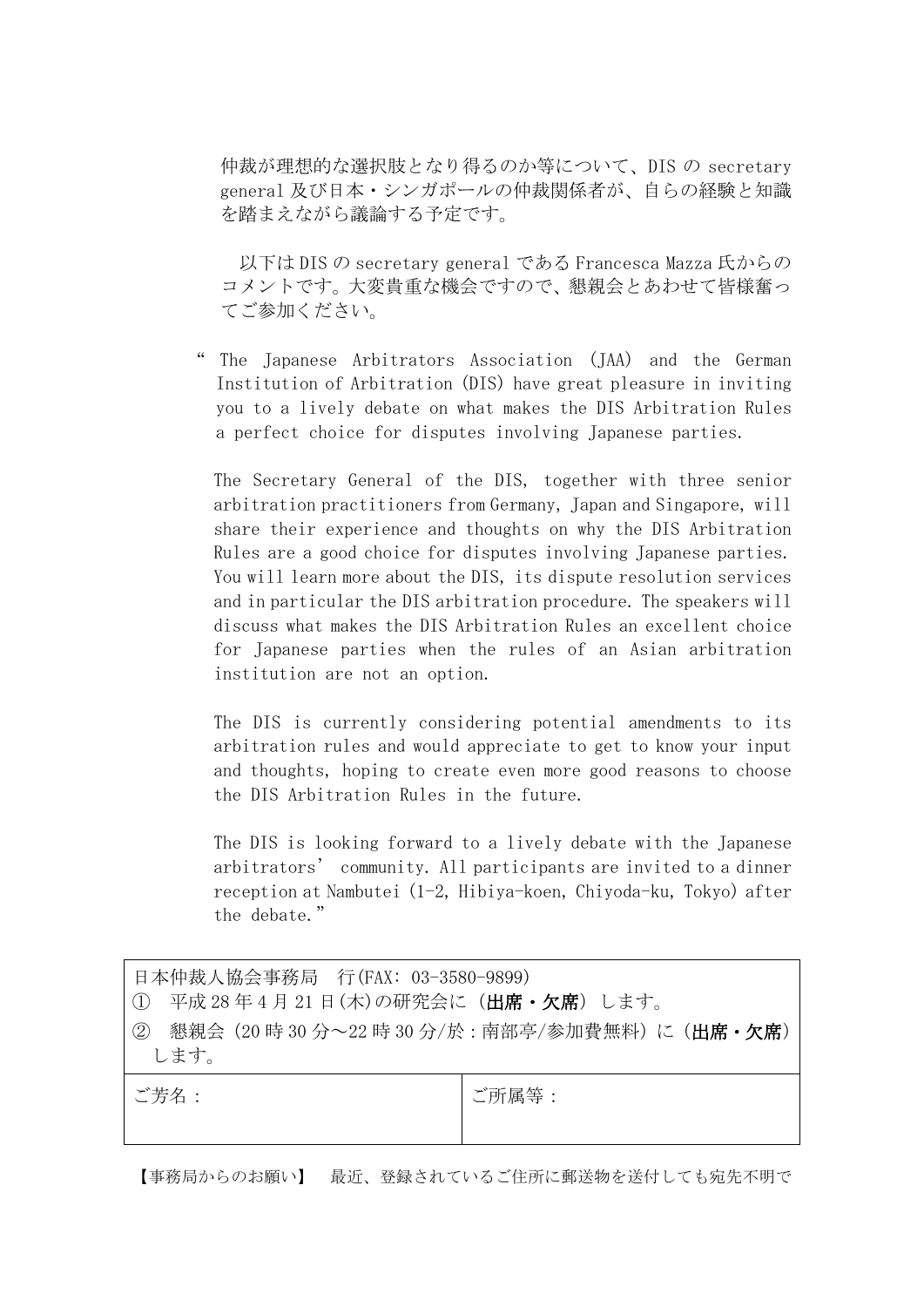仲裁が理想的な選択肢となり得るのか等について、DIS の secretary general 及び日本・シンガポールの仲裁関係者が、自らの経験と知識 を踏まえながら議論する予定です。

 以下は DIS の secretary general である Francesca Mazza 氏からの コメントです。大変貴重な機会ですので、懇親会とあわせて皆様奮っ てご参加ください。

The Japanese Arbitrators Association (JAA) and the German Institution of Arbitration (DIS) have great pleasure in inviting you to a lively debate on what makes the DIS Arbitration Rules a perfect choice for disputes involving Japanese parties.

The Secretary General of the DIS, together with three senior arbitration practitioners from Germany, Japan and Singapore, will share their experience and thoughts on why the DIS Arbitration Rules are a good choice for disputes involving Japanese parties. You will learn more about the DIS, its dispute resolution services and in particular the DIS arbitration procedure. The speakers will discuss what makes the DIS Arbitration Rules an excellent choice for Japanese parties when the rules of an Asian arbitration institution are not an option.

The DIS is currently considering potential amendments to its arbitration rules and would appreciate to get to know your input and thoughts, hoping to create even more good reasons to choose the DIS Arbitration Rules in the future.

The DIS is looking forward to a lively debate with the Japanese arbitrators' community. All participants are invited to a dinner reception at Nambutei (1-2, Hibiya-koen, Chiyoda-ku, Tokyo) after the debate."

| │日本仲裁人協会事務局 行(FAX: 03-3580-9899) |  |  |  |
|----------------------------------|--|--|--|
|----------------------------------|--|--|--|

- ① 平成 28 年 4 月 21 日(木)の研究会に(出席・欠席)します。
- ② 懇親会(20時 30 分~22時 30 分/於:南部亭/参加費無料)に(出席·欠席) します。

ご芳名: ご所属等:

【事務局からのお願い】 最近、登録されているご住所に郵送物を送付しても宛先不明で